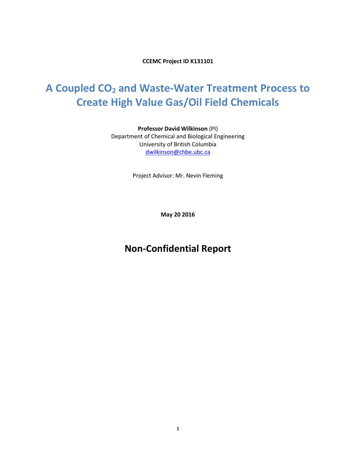**CCEMC Project ID K131101**

# **A Coupled CO<sup>2</sup> and Waste-Water Treatment Process to Create High Value Gas/Oil Field Chemicals**

**Professor David Wilkinson** (PI) Department of Chemical and Biological Engineering University of British Columbia [dwilkinson@chbe.ubc.ca](mailto:dwilkinson@chbe.ubc.ca)

Project Advisor: Mr. Nevin Fleming

**May 20 2016**

# **Non-Confidential Report**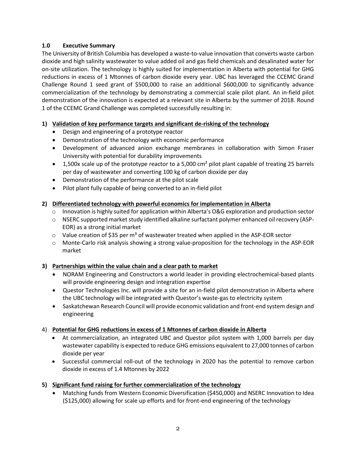## **1.0 Executive Summary**

The University of British Columbia has developed a waste-to-value innovation that converts waste carbon dioxide and high salinity wastewater to value added oil and gas field chemicals and desalinated water for on-site utilization. The technology is highly suited for implementation in Alberta with potential for GHG reductions in excess of 1 Mtonnes of carbon dioxide every year. UBC has leveraged the CCEMC Grand Challenge Round 1 seed grant of \$500,000 to raise an additional \$600,000 to significantly advance commercialization of the technology by demonstrating a commercial scale pilot plant. An in-field pilot demonstration of the innovation is expected at a relevant site in Alberta by the summer of 2018. Round 1 of the CCEMC Grand Challenge was completed successfully resulting in:

# **1) Validation of key performance targets and significant de-risking of the technology**

- Design and engineering of a prototype reactor
- Demonstration of the technology with economic performance
- Development of advanced anion exchange membranes in collaboration with Simon Fraser University with potential for durability improvements
- $\bullet$  1,500x scale up of the prototype reactor to a 5,000 cm<sup>2</sup> pilot plant capable of treating 25 barrels per day of wastewater and converting 100 kg of carbon dioxide per day
- Demonstration of the performance at the pilot scale
- Pilot plant fully capable of being converted to an in-field pilot

# **2) Differentiated technology with powerful economics for implementation in Alberta**

- $\circ$  Innovation is highly suited for application within Alberta's O&G exploration and production sector
- o NSERC supported market study identified alkaline surfactant polymer enhanced oil recovery (ASP-EOR) as a strong initial market
- $\circ$  Value creation of \$35 per m<sup>3</sup> of wastewater treated when applied in the ASP-EOR sector
- o Monte-Carlo risk analysis showing a strong value-proposition for the technology in the ASP-EOR market

# **3) Partnerships within the value chain and a clear path to market**

- NORAM Engineering and Constructors a world leader in providing electrochemical-based plants will provide engineering design and integration expertise
- Questor Technologies Inc. will provide a site for an in-field pilot demonstration in Alberta where the UBC technology will be integrated with Questor's waste-gas to electricity system
- Saskatchewan Research Council will provide economic validation and front-end system design and engineering

# 4) **Potential for GHG reductions in excess of 1 Mtonnes of carbon dioxide in Alberta**

- At commercialization, an integrated UBC and Questor pilot system with 1,000 barrels per day wastewater capability is expected to reduce GHG emissions equivalent to 27,000 tonnes of carbon dioxide per year
- Successful commercial roll-out of the technology in 2020 has the potential to remove carbon dioxide in excess of 1.4 Mtonnes by 2022
- **5) Significant fund raising for further commercialization of the technology**
	- Matching funds from Western Economic Diversification (\$450,000) and NSERC Innovation to Idea (\$125,000) allowing for scale up efforts and for front-end engineering of the technology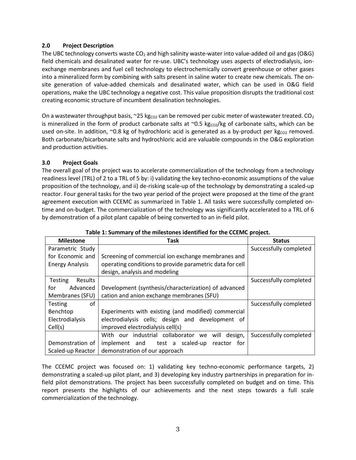#### **2.0 Project Description**

The UBC technology converts waste  $CO<sub>2</sub>$  and high salinity waste-water into value-added oil and gas (O&G) field chemicals and desalinated water for re-use. UBC's technology uses aspects of electrodialysis, ionexchange membranes and fuel cell technology to electrochemically convert greenhouse or other gases into a mineralized form by combining with salts present in saline water to create new chemicals. The onsite generation of value-added chemicals and desalinated water, which can be used in O&G field operations, make the UBC technology a negative cost. This value proposition disrupts the traditional cost creating economic structure of incumbent desalination technologies.

On a wastewater throughput basis, ~25 kg<sub>co2</sub> can be removed per cubic meter of wastewater treated. CO<sub>2</sub> is mineralized in the form of product carbonate salts at  $\sim$  0.5 kgco<sub>2</sub>/kg of carbonate salts, which can be used on-site. In addition, ~0.8 kg of hydrochloric acid is generated as a by-product per kg<sub>co2</sub> removed. Both carbonate/bicarbonate salts and hydrochloric acid are valuable compounds in the O&G exploration and production activities.

## **3.0 Project Goals**

The overall goal of the project was to accelerate commercialization of the technology from a technology readiness level (TRL) of 2 to a TRL of 5 by: i) validating the key techno-economic assumptions of the value proposition of the technology, and ii) de-risking scale-up of the technology by demonstrating a scaled-up reactor. Four general tasks for the two year period of the project were proposed at the time of the grant agreement execution with CCEMC as summarized in Table 1. All tasks were successfully completed ontime and on-budget. The commercialization of the technology was significantly accelerated to a TRL of 6 by demonstration of a pilot plant capable of being converted to an in-field pilot.

| <b>Milestone</b>                 | Task                                                     | <b>Status</b>          |  |  |  |  |  |
|----------------------------------|----------------------------------------------------------|------------------------|--|--|--|--|--|
| Parametric Study                 |                                                          | Successfully completed |  |  |  |  |  |
| for Economic and                 | Screening of commercial ion exchange membranes and       |                        |  |  |  |  |  |
| <b>Energy Analysis</b>           | operating conditions to provide parametric data for cell |                        |  |  |  |  |  |
|                                  | design, analysis and modeling                            |                        |  |  |  |  |  |
| <b>Testing</b><br><b>Results</b> |                                                          | Successfully completed |  |  |  |  |  |
| for<br>Advanced                  | Development (synthesis/characterization) of advanced     |                        |  |  |  |  |  |
| Membranes (SFU)                  | cation and anion exchange membranes (SFU)                |                        |  |  |  |  |  |
| of<br><b>Testing</b>             |                                                          | Successfully completed |  |  |  |  |  |
| Benchtop                         | Experiments with existing (and modified) commercial      |                        |  |  |  |  |  |
| Electrodialysis                  | electrodialysis cells; design and development of         |                        |  |  |  |  |  |
| Cell(s)                          | improved electrodialysis cell(s)                         |                        |  |  |  |  |  |
|                                  | With our industrial collaborator we<br>will design,      | Successfully completed |  |  |  |  |  |
| Demonstration of                 | implement and test a scaled-up<br>for<br>reactor         |                        |  |  |  |  |  |
| Scaled-up Reactor                | demonstration of our approach                            |                        |  |  |  |  |  |

|  | Table 1: Summary of the milestones identified for the CCEMC project. |  |  |
|--|----------------------------------------------------------------------|--|--|
|--|----------------------------------------------------------------------|--|--|

The CCEMC project was focused on: 1) validating key techno-economic performance targets, 2) demonstrating a scaled-up pilot plant, and 3) developing key industry partnerships in preparation for infield pilot demonstrations. The project has been successfully completed on budget and on time. This report presents the highlights of our achievements and the next steps towards a full scale commercialization of the technology.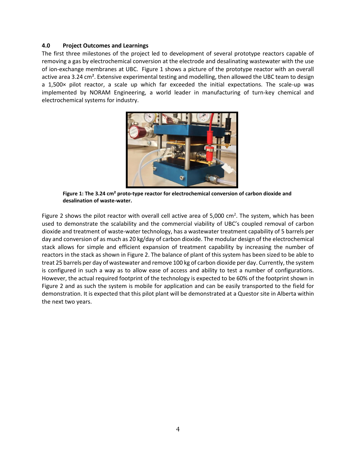#### **4.0 Project Outcomes and Learnings**

The first three milestones of the project led to development of several prototype reactors capable of removing a gas by electrochemical conversion at the electrode and desalinating wastewater with the use of ion-exchange membranes at UBC. Figure 1 shows a picture of the prototype reactor with an overall active area 3.24 cm². Extensive experimental testing and modelling, then allowed the UBC team to design a 1,500× pilot reactor, a scale up which far exceeded the initial expectations. The scale-up was implemented by NORAM Engineering, a world leader in manufacturing of turn-key chemical and electrochemical systems for industry.



**Figure 1: The 3.24 cm² proto-type reactor for electrochemical conversion of carbon dioxide and desalination of waste-water.**

Figure 2 shows the pilot reactor with overall cell active area of 5,000  $\text{cm}^2$ . The system, which has been used to demonstrate the scalability and the commercial viability of UBC's coupled removal of carbon dioxide and treatment of waste-water technology, has a wastewater treatment capability of 5 barrels per day and conversion of as much as 20 kg/day of carbon dioxide. The modular design of the electrochemical stack allows for simple and efficient expansion of treatment capability by increasing the number of reactors in the stack as shown in Figure 2. The balance of plant of this system has been sized to be able to treat 25 barrels per day of wastewater and remove 100 kg of carbon dioxide per day. Currently, the system is configured in such a way as to allow ease of access and ability to test a number of configurations. However, the actual required footprint of the technology is expected to be 60% of the footprint shown in Figure 2 and as such the system is mobile for application and can be easily transported to the field for demonstration. It is expected that this pilot plant will be demonstrated at a Questor site in Alberta within the next two years.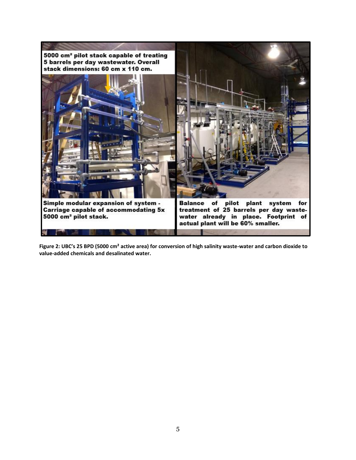

**Figure 2: UBC's 25 BPD (5000 cm² active area) for conversion of high salinity waste-water and carbon dioxide to value-added chemicals and desalinated water.**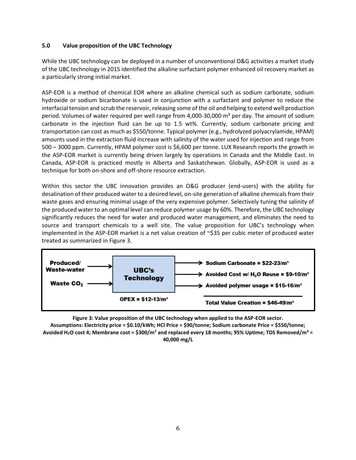#### **5.0 Value proposition of the UBC Technology**

While the UBC technology can be deployed in a number of unconventional O&G activities a market study of the UBC technology in 2015 identified the alkaline surfactant polymer enhanced oil recovery market as a particularly strong initial market.

ASP-EOR is a method of chemical EOR where an alkaline chemical such as sodium carbonate, sodium hydroxide or sodium bicarbonate is used in conjunction with a surfactant and polymer to reduce the interfacial tension and scrub the reservoir, releasing some of the oil and helping to extend well production period. Volumes of water required per well range from 4,000-30,000  $\text{m}^3$  per day. The amount of sodium carbonate in the injection fluid can be up to 1.5 wt%. Currently, sodium carbonate pricing and transportation can cost as much as \$550/tonne. Typical polymer (e.g., hydrolyzed polyacrylamide, HPAM) amounts used in the extraction fluid increase with salinity of the water used for injection and range from 500 – 3000 ppm. Currently, HPAM polymer cost is \$6,600 per tonne. LUX Research reports the growth in the ASP-EOR market is currently being driven largely by operations in Canada and the Middle East. In Canada, ASP-EOR is practiced mostly in Alberta and Saskatchewan. Globally, ASP-EOR is used as a technique for both on-shore and off-shore resource extraction.

Within this sector the UBC innovation provides an O&G producer (end-users) with the ability for desalination of their produced water to a desired level, on-site generation of alkaline chemicals from their waste gases and ensuring minimal usage of the very expensive polymer. Selectively tuning the salinity of the produced water to an optimal level can reduce polymer usage by 60%. Therefore, the UBC technology significantly reduces the need for water and produced water management, and eliminates the need to source and transport chemicals to a well site. The value proposition for UBC's technology when implemented in the ASP-EOR market is a net value creation of ~\$35 per cubic meter of produced water treated as summarized in Figure 3.



**Figure 3: Value proposition of the UBC technology when applied to the ASP-EOR sector. Assumptions: Electricity price = \$0.10/kWh; HCl Price = \$90/tonne; Sodium carbonate Price = \$550/tonne; Avoided H2O cost 4; Membrane cost = \$300/m<sup>2</sup> and replaced every 18 months; 95% Uptime; TDS Removed/m³ = 40,000 mg/L**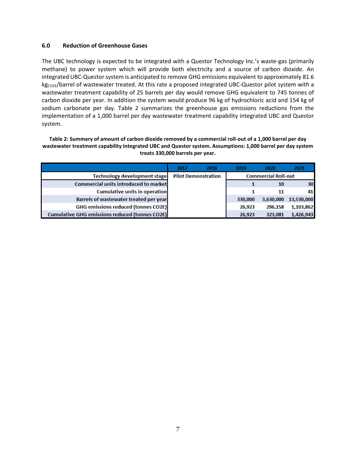#### **6.0 Reduction of Greenhouse Gases**

The UBC technology is expected to be integrated with a Questor Technology Inc.'s waste-gas (primarily methane) to power system which will provide both electricity and a source of carbon dioxide. An integrated UBC-Questor system is anticipated to remove GHG emissions equivalent to approximately 81.6 kg<sub>co2E</sub>/barrel of wastewater treated. At this rate a proposed integrated UBC-Questor pilot system with a wastewater treatment capability of 25 barrels per day would remove GHG equivalent to 745 tonnes of carbon dioxide per year. In addition the system would produce 96 kg of hydrochloric acid and 154 kg of sodium carbonate per day. Table 2 summarizes the greenhouse gas emissions reductions from the implementation of a 1,000 barrel per day wastewater treatment capability integrated UBC and Questor system.

**Table 2: Summary of amount of carbon dioxide removed by a commercial roll-out of a 1,000 barrel per day wastewater treatment capability integrated UBC and Questor system. Assumptions: 1,000 barrel per day system treats 330,000 barrels per year.**

|                                                       | 2017                                                     | 2018 | 2019    | 2020      | 2021       |
|-------------------------------------------------------|----------------------------------------------------------|------|---------|-----------|------------|
| Technology development stage                          | <b>Commercial Roll-out</b><br><b>Pilot Demonstration</b> |      |         |           |            |
| <b>Commercial units introduced to market</b>          |                                                          |      |         | 10        | 30         |
| <b>Cumulative units in operation</b>                  |                                                          |      |         | 11        | 41         |
| Barrels of wastewater treated per year                |                                                          |      | 330,000 | 3,630,000 | 13,530,000 |
| <b>GHG emissions reduced (tonnes CO2E)</b>            |                                                          |      | 26,923  | 296,158   | 1,103,862  |
| <b>Cumulative GHG emissions reduced (tonnes CO2E)</b> |                                                          |      | 26,923  | 323,081   | 1,426,943  |